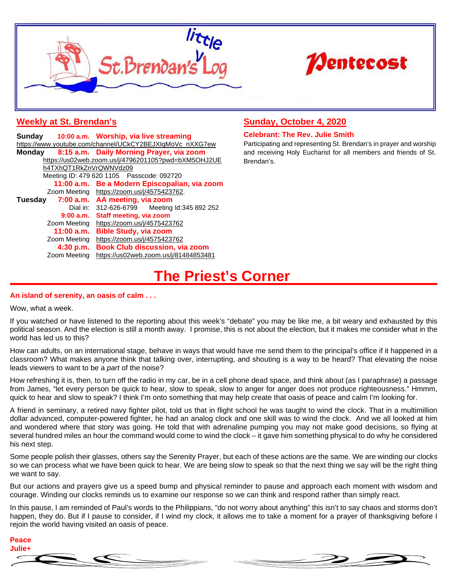



## **Weekly at St. Brendan's**

|                                                          |              | Sunday 10:00 a.m. Worship, via live streaming |
|----------------------------------------------------------|--------------|-----------------------------------------------|
| https://www.youtube.com/channel/UCkCY2BEJXIqMoVc_nXXG7ew |              |                                               |
| Mondav                                                   |              | 8:15 a.m. Daily Morning Prayer, via zoom      |
| https://us02web.zoom.us/j/4796201105?pwd=bXM5OHJ2UE      |              |                                               |
| h4TXhQT1RkZnVrQWNVdz09                                   |              |                                               |
| Meeting ID: 479 620 1105 Passcode: 092720                |              |                                               |
|                                                          |              | 11:00 a.m. Be a Modern Episcopalian, via zoom |
|                                                          |              | Zoom Meeting https://zoom.us/j/4575423762.    |
| Tuesday                                                  |              | 7:00 a.m. AA meeting, via zoom                |
|                                                          |              | Dial in: 312-626-6799 Meeting Id:345 892 252  |
|                                                          | 9:00a.m.     | Staff meeting, via zoom                       |
|                                                          | Zoom Meeting | https://zoom.us/j/4575423762                  |
|                                                          | 11:00 a.m.   | <b>Bible Study, via zoom</b>                  |
|                                                          | Zoom Meeting | https://zoom.us/j/4575423762                  |
|                                                          | 4:30 p.m.    | <b>Book Club discussion, via zoom</b>         |
|                                                          | Zoom Meeting | https://us02web.zoom.us/j/81484853481         |

## **Sunday, October 4, 2020**

#### **Celebrant: The Rev. Julie Smith**

Participating and representing St. Brendan's in prayer and worship and receiving Holy Eucharist for all members and friends of St. Brendan's.

# **The Priest's Corner**

### **An island of serenity, an oasis of calm . . .**

Wow, what a week.

If you watched or have listened to the reporting about this week's "debate" you may be like me, a bit weary and exhausted by this political season. And the election is still a month away. I promise, this is not about the election, but it makes me consider what in the world has led us to this?

How can adults, on an international stage, behave in ways that would have me send them to the principal's office if it happened in a classroom? What makes anyone think that talking over, interrupting, and shouting is a way to be heard? That elevating the noise leads viewers to want to be a *part* of the noise?

How refreshing it is, then, to turn off the radio in my car, be in a cell phone dead space, and think about (as I paraphrase) a passage from James, "let every person be quick to hear, slow to speak, slow to anger for anger does not produce righteousness." Hmmm, quick to hear and slow to speak? I think I'm onto something that may help create that oasis of peace and calm I'm looking for.

A friend in seminary, a retired navy fighter pilot, told us that in flight school he was taught to wind the clock. That in a multimillion dollar advanced, computer-powered fighter, he had an analog clock and one skill was to wind the clock. And we all looked at him and wondered where that story was going. He told that with adrenaline pumping you may not make good decisions, so flying at several hundred miles an hour the command would come to wind the clock – it gave him something physical to do why he considered his next step.

Some people polish their glasses, others say the Serenity Prayer, but each of these actions are the same. We are winding our clocks so we can process what we have been quick to hear. We are being slow to speak so that the next thing we say will be the right thing we want to say.

But our actions and prayers give us a speed bump and physical reminder to pause and approach each moment with wisdom and courage. Winding our clocks reminds us to examine our response so we can think and respond rather than simply react.

In this pause, I am reminded of Paul's words to the Philippians, "do not worry about anything" this isn't to say chaos and storms don't happen, they do. But if I pause to consider, if I wind my clock, it allows me to take a moment for a prayer of thanksgiving before I rejoin the world having visited an oasis of peace.

# **Peace Julie+**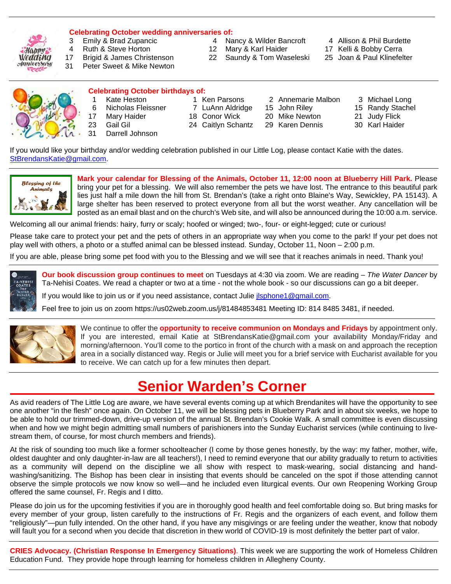

# **Celebrating October wedding anniversaries of:**

- 3 Emily & Brad Zupancic **4 Nancy & Wilder Bancroft** 4 Allison & Phil Burdette<br>4 Ruth & Steve Horton **12 Mary & Karl Haider** 17 Kelli & Bobby Cerra
- 17 Brigid & James Christenson 22 Saundy & Tom Waseleski
- 31 Peter Sweet & Mike Newton
- -
- 12 Mary & Karl Haider 17 Kelli & Bobby Cerra<br>22 Saundy & Tom Waseleski 25 Joan & Paul Klinefelter
- -
	-



## **Celebrating October birthdays of:**

- 
- -
- 
- 23 Gail Gil 24 Caitlyn Schantz 29 Karen Dennis 30 Karl Haider Darrell Johnson
- 1 Kate Heston 1 Ken Parsons 2 Annemarie Malbon 3 Michael Long
- 6 Nicholas Fleissner 7 LuAnn Aldridge 15 John Riley 15 Randy Stachel
	-
- 17 Mary Haider **18 Conor Wick** 20 Mike Newton 21 Judy Flick
	-

If you would like your birthday and/or wedding celebration published in our Little Log, please contact Katie with the dates. [StBrendansKatie@gmail.com.](mailto:StBrendansKatie@gmail.com)



**Mark your calendar for Blessing of the Animals, October 11, 12:00 noon at Blueberry Hill Park.** Please bring your pet for a blessing. We will also remember the pets we have lost. The entrance to this beautiful park lies just half a mile down the hill from St. Brendan's (take a right onto Blaine's Way, Sewickley, PA 15143). A large shelter has been reserved to protect everyone from all but the worst weather. Any cancellation will be posted as an email blast and on the church's Web site, and will also be announced during the 10:00 a.m. service.

Welcoming all our animal friends: hairy, furry or scaly; hoofed or winged; two-, four- or eight-legged; cute or curious!

Please take care to protect your pet and the pets of others in an appropriate way when you come to the park! If your pet does not play well with others, a photo or a stuffed animal can be blessed instead. Sunday, October 11, Noon – 2:00 p.m.

If you are able, please bring some pet food with you to the Blessing and we will see that it reaches animals in need. Thank you!



**Our book discussion group continues to meet** on Tuesdays at 4:30 via zoom. We are reading – *The Water Dancer* by Ta-Nehisi Coates. We read a chapter or two at a time - not the whole book - so our discussions can go a bit deeper.

If you would like to join us or if you need assistance, contact Julie *isphone1@gmail.com*.

Feel free to join us on zoom https://us02web.zoom.us/j/81484853481 Meeting ID: 814 8485 3481, if needed.



We continue to offer the **opportunity to receive communion on Mondays and Fridays** by appointment only. If you are interested, email Katie at StBrendansKatie@gmail.com your availability Monday/Friday and morning/afternoon. You'll come to the portico in front of the church with a mask on and approach the reception area in a socially distanced way. Regis or Julie will meet you for a brief service with Eucharist available for you to receive. We can catch up for a few minutes then depart.

# **Senior Warden's Corner**

As avid readers of The Little Log are aware, we have several events coming up at which Brendanites will have the opportunity to see one another "in the flesh" once again. On October 11, we will be blessing pets in Blueberry Park and in about six weeks, we hope to be able to hold our trimmed-down, drive-up version of the annual St. Brendan's Cookie Walk. A small committee is even discussing when and how we might begin admitting small numbers of parishioners into the Sunday Eucharist services (while continuing to livestream them, of course, for most church members and friends).

At the risk of sounding too much like a former schoolteacher (I come by those genes honestly, by the way: my father, mother, wife, oldest daughter and only daughter-in-law are all teachers!), I need to remind everyone that our ability gradually to return to activities as a community will depend on the discipline we all show with respect to mask-wearing, social distancing and handwashing/sanitizing. The Bishop has been clear in insisting that events should be canceled on the spot if those attending cannot observe the simple protocols we now know so well—and he included even liturgical events. Our own Reopening Working Group offered the same counsel, Fr. Regis and I ditto.

Please do join us for the upcoming festivities if you are in thoroughly good health and feel comfortable doing so. But bring masks for every member of your group, listen carefully to the instructions of Fr. Regis and the organizers of each event, and follow them "religiously"—pun fully intended. On the other hand, if you have any misgivings or are feeling under the weather, know that nobody will fault you for a second when you decide that discretion in thew world of COVID-19 is most definitely the better part of valor.

**CRIES Advocacy. (Christian Response In Emergency Situations)**. This week we are supporting the work of Homeless Children Education Fund. They provide hope through learning for homeless children in Allegheny County.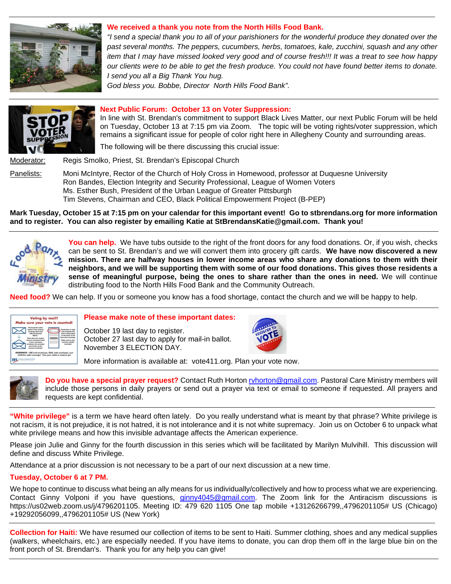

### **We received a thank you note from the North Hills Food Bank.**

*"I send a special thank you to all of your parishioners for the wonderful produce they donated over the past several months. The peppers, cucumbers, herbs, tomatoes, kale, zucchini, squash and any other item that I may have missed looked very good and of course fresh!!! It was a treat to see how happy our clients were to be able to get the fresh produce. You could not have found better items to donate. I send you all a Big Thank You hug.*

*God bless you. Bobbe, Director North Hills Food Bank".*



#### **Next Public Forum: October 13 on Voter Suppression:**

In line with St. Brendan's commitment to support Black Lives Matter, our next Public Forum will be held on Tuesday, October 13 at 7:15 pm via Zoom. The topic will be voting rights/voter suppression, which remains a significant issue for people of color right here in Allegheny County and surrounding areas.

The following will be there discussing this crucial issue:

Moderator: Regis Smolko, Priest, St. Brendan's Episcopal Church

Panelists: Moni McIntyre, Rector of the Church of Holy Cross in Homewood, professor at Duquesne University Ron Bandes, Election Integrity and Security Professional, League of Women Voters Ms. Esther Bush, President of the Urban League of Greater Pittsburgh Tim Stevens, Chairman and CEO, Black Political Empowerment Project (B-PEP)

**Mark Tuesday, October 15 at 7:15 pm on your calendar for this important event! Go to stbrendans.org for more information and to register. You can also register by emailing Katie at StBrendansKatie@gmail.com. Thank you!**



**You can help.** We have tubs outside to the right of the front doors for any food donations. Or, if you wish, checks can be sent to St. Brendan's and we will convert them into grocery gift cards. **We have now discovered a new mission. There are halfway houses in lower income areas who share any donations to them with their neighbors, and we will be supporting them with some of our food donations. This gives those residents a sense of meaningful purpose, being the ones to share rather than the ones in need.** We will continue distributing food to the North Hills Food Bank and the Community Outreach.

**Need food?** We can help. If you or someone you know has a food shortage, contact the church and we will be happy to help.



#### **Please make note of these important dates:**

October 19 last day to register. October 27 last day to apply for mail-in ballot. November 3 ELECTION DAY.



More information is available at: vote411.org. Plan your vote now.



**Do you have a special prayer request?** Contact Ruth Horton [rvhorton@gmail.com.](mailto:rvhorton@gmail.com) Pastoral Care Ministry members will include those persons in daily prayers or send out a prayer via text or email to someone if requested. All prayers and requests are kept confidential.

**"White privilege"** is a term we have heard often lately. Do you really understand what is meant by that phrase? White privilege is not racism, it is not prejudice, it is not hatred, it is not intolerance and it is not white supremacy. Join us on October 6 to unpack what white privilege means and how this invisible advantage affects the American experience.

Please join Julie and Ginny for the fourth discussion in this series which will be facilitated by Marilyn Mulvihill. This discussion will define and discuss White Privilege.

Attendance at a prior discussion is not necessary to be a part of our next discussion at a new time.

### **Tuesday, October 6 at 7 PM.**

We hope to continue to discuss what being an ally means for us individually/collectively and how to process what we are experiencing. Contact Ginny Volponi if you have questions, *ginny4045@gmail.com*. The Zoom link for the Antiracism discussions is https://us02web.zoom.us/j/4796201105. Meeting ID: 479 620 1105 One tap mobile +13126266799,,4796201105# US (Chicago) +19292056099,,4796201105# US (New York)

**Collection for Haiti:** We have resumed our collection of items to be sent to Haiti. Summer clothing, shoes and any medical supplies (walkers, wheelchairs, etc.) are especially needed. If you have items to donate, you can drop them off in the large blue bin on the front porch of St. Brendan's. Thank you for any help you can give!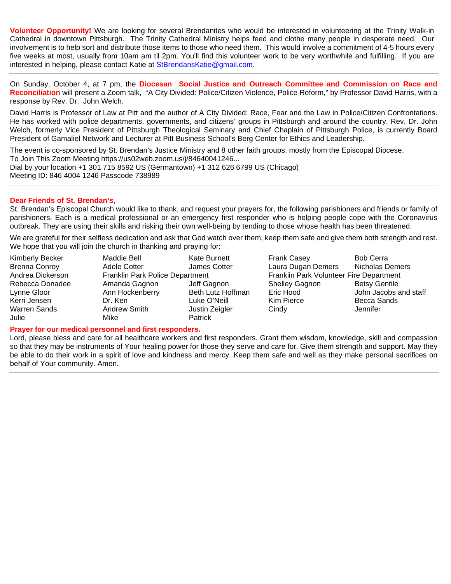**Volunteer Opportunity!** We are looking for several Brendanites who would be interested in volunteering at the Trinity Walk-in Cathedral in downtown Pittsburgh. The Trinity Cathedral Ministry helps feed and clothe many people in desperate need. Our involvement is to help sort and distribute those items to those who need them. This would involve a commitment of 4-5 hours every five weeks at most, usually from 10am am til 2pm. You'll find this volunteer work to be very worthwhile and fulfilling. If you are interested in helping, please contact Katie at StBrendansKatie@gmail.com.

On Sunday, October 4, at 7 pm, the **Diocesan Social Justice and Outreach Committee and Commission on Race and Reconciliation** will present a Zoom talk, "A City Divided: Police/Citizen Violence, Police Reform," by Professor David Harris, with a response by Rev. Dr. John Welch.

David Harris is Professor of Law at Pitt and the author of A City Divided: Race, Fear and the Law in Police/Citizen Confrontations. He has worked with police departments, governments, and citizens' groups in Pittsburgh and around the country. Rev. Dr. John Welch, formerly Vice President of Pittsburgh Theological Seminary and Chief Chaplain of Pittsburgh Police, is currently Board President of Gamaliel Network and Lecturer at Pitt Business School's Berg Center for Ethics and Leadership.

The event is co-sponsored by St. Brendan's Justice Ministry and 8 other faith groups, mostly from the Episcopal Diocese. To Join This Zoom Meeting https://us02web.zoom.us/j/84640041246... Dial by your location +1 301 715 8592 US (Germantown) +1 312 626 6799 US (Chicago) Meeting ID: 846 4004 1246 Passcode 738989

### **Dear Friends of St. Brendan's,**

St. Brendan's Episcopal Church would like to thank, and request your prayers for, the following parishioners and friends or family of parishioners. Each is a medical professional or an emergency first responder who is helping people cope with the Coronavirus outbreak. They are using their skills and risking their own well-being by tending to those whose health has been threatened.

We are grateful for their selfless dedication and ask that God watch over them, keep them safe and give them both strength and rest. We hope that you will join the church in thanking and praying for:

- 
- Julie Mike Patrick

Kimberly Becker **Maddie Bell** Kate Burnett Frank Casey **Bob Cerra** Brenna Conroy Adele Cotter James Cotter Laura Dugan Demers Nicholas Demers<br>Andrea Dickerson Franklin Park Police Department Franklin Park Franklin Park Volunteer Fire Department Rebecca Donadee Amanda Gagnon Jeff Gagnon Shelley Gagnon Betsy Gentile Lynne Gloor Ann Hockenberry Beth Lutz Hoffman Eric Hood John Jacobs and staff Kerri Jensen Dr. Ken Luke O'Neill Kim Pierce Becca Sands Warren Sands **Andrew Smith** Justin Zeigler Cindy **Communished Communished Cindy** Jennifer

**Prayer for our medical personnel and first responders.**

Lord, please bless and care for all healthcare workers and first responders. Grant them wisdom, knowledge, skill and compassion so that they may be instruments of Your healing power for those they serve and care for. Give them strength and support. May they be able to do their work in a spirit of love and kindness and mercy. Keep them safe and well as they make personal sacrifices on behalf of Your community. Amen.